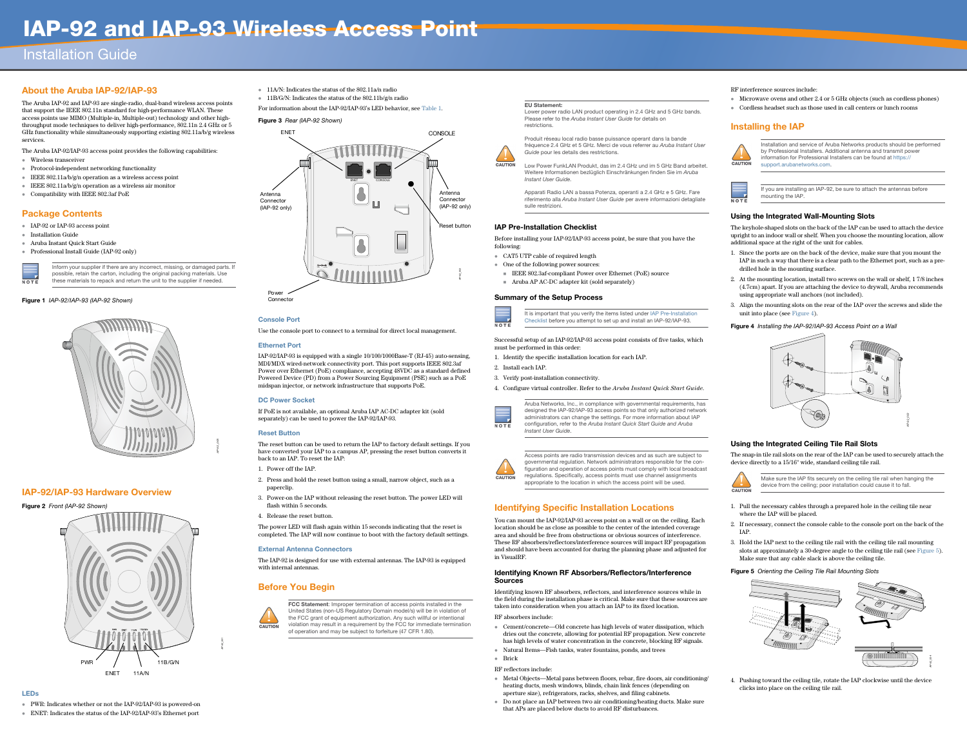# IAP-92 and IAP-93 Wireless Access Point

# Installation Guide

# About the Aruba IAP-92/IAP-93

The Aruba IAP-92 and IAP-93 are single-radio, dual-band wireless access points that support the IEEE 802.11n standard for high-performance WLAN. These access points use MIMO (Multiple-in, Multiple-out) technology and other highthroughput mode techniques to deliver high-performance, 802.11n 2.4 GHz or 5 GHz functionality while simultaneously supporting existing 802.11a/b/g wireless services.

The Aruba IAP-92/IAP-93 access point provides the following capabilities:

- Wireless transceiver
- Protocol-independent networking functionality
- **IEEE** 802.11a/b/g/n operation as a wireless access point
- **IEEE** 802.11a/b/g/n operation as a wireless air monitor
- Compatibility with IEEE 802.3af PoE

# Package Contents

- IAP-92 or IAP-93 access point
- Installation Guide
- Aruba Instant Quick Start Guide
- Professional Install Guide (IAP-92 only)



### Figure 1 IAP-92/IAP-93 (IAP-92 Shown)



# IAP-92/IAP-93 Hardware Overview

Figure 2 Front (IAP-92 Shown)

#### LEDs

- PWR: Indicates whether or not the IAP-92/IAP-93 is powered-on
- ENET: Indicates the status of the IAP-92/IAP-93's Ethernet port
- 11A/N: Indicates the status of the 802.11a/n radio
- 11B/G/N: Indicates the status of the 802.11b/g/n radio

For information about the IAP-92/IAP-93's LED behavior, see Table 1.

### Figure 3 Rear (IAP-92 Shown)

### Console Port

- Before installing your IAP-92/IAP-93 access point, be sure that you have the
- IEEE 802.3af-compliant Power over Ethernet (PoE) source ■ Aruba AP AC-DC adapter kit (sold separately)

Use the console port to connect to a terminal for direct local management.

- CAT5 UTP cable of required length • One of the following power sources:
- 



#### Ethernet Port

IAP-92/IAP-93 is equipped with a single 10/100/1000Base-T (RJ-45) auto-sensing, MDI/MDX wired-network connectivity port. This port supports IEEE 802.3af Power over Ethernet (PoE) compliance, accepting 48VDC as a standard defined Powered Device (PD) from a Power Sourcing Equipment (PSE) such as a PoE midspan injector, or network infrastructure that supports PoE.

#### DC Power Socket

If PoE is not available, an optional Aruba IAP AC-DC adapter kit (sold separately) can be used to power the IAP-92/IAP-93.

#### Reset Button

The reset button can be used to return the IAP to factory default settings. If you have converted your IAP to a campus AP, pressing the reset button converts it back to an IAP. To reset the IAP:

- 1. Power off the IAP.
- 2. Press and hold the reset button using a small, narrow object, such as a paperclip.
- 3. Power-on the IAP without releasing the reset button. The power LED will flash within 5 seconds.
- 4. Release the reset button.

The power LED will flash again within 15 seconds indicating that the reset is completed. The IAP will now continue to boot with the factory default settings.

#### External Antenna Connectors

The IAP-92 is designed for use with external antennas. The IAP-93 is equipped with internal antennas.

# Before You Begin



## <span id="page-0-0"></span>IAP Pre-Installation Checklist

following:

- 1. Pull the necessary cables through a prepared hole in the ceiling tile near where the IAP will be placed.
- 2. If necessary, connect the console cable to the console port on the back of the IAP.
- 3. Hold the IAP next to the ceiling tile rail with the ceiling tile rail mounting slots at approximately a 30-degree angle to the ceiling tile rail (see [Figure 5](#page-0-2)). Make sure that any cable slack is above the ceiling tile.
- <span id="page-0-2"></span>Figure 5 Orienting the Ceiling Tile Rail Mounting Slots

#### Summary of the Setup Process

Successful setup of an IAP-92/IAP-93 access point consists of five tasks, which

must be performed in this order:

1. Identify the specific installation location for each IAP.

- 
- 2. Install each IAP.
- 
- 





#### 3. Verify post-installation connectivity.

4. Configure virtual controller. Refer to the *Aruba Instant Quick Start Guide*.

# Identifying Specific Installation Locations

You can mount the IAP-92/IAP-93 access point on a wall or on the ceiling. Each location should be as close as possible to the center of the intended coverage area and should be free from obstructions or obvious sources of interference. These RF absorbers/reflectors/interference sources will impact RF propagation and should have been accounted for during the planning phase and adjusted for in VisualRF.

FCC Statement: Improper termination of access points installed in the United States (non-US Regulatory Domain model/s) will be in violation of the FCC grant of equipment authorization. Any such willful or intentional violation may result in a requirement by the FCC for immediate termination of operation and may be subject to forfeiture (47 CFR 1.80).

#### Identifying Known RF Absorbers/Reflectors/Interference

# Sources

Identifying known RF absorbers, reflectors, and interference sources while in the field during the installation phase is critical. Make sure that these sources are taken into consideration when you attach an IAP to its fixed location.

 Cement/concrete—Old concrete has high levels of water dissipation, which dries out the concrete, allowing for potential RF propagation. New concrete has high levels of water concentration in the concrete, blocking RF signals. Natural Items—Fish tanks, water fountains, ponds, and trees

- RF absorbers include:
- 
- Brick
- RF reflectors include:
- 
- 

- Metal Objects—Metal pans between floors, rebar, fire doors, air conditioning/ heating ducts, mesh windows, blinds, chain link fences (depending on aperture size), refrigerators, racks, shelves, and filing cabinets.
- Do not place an IAP between two air conditioning/heating ducts. Make sure that APs are placed below ducts to avoid RF disturbances.

RF interference sources include:

- Microwave ovens and other 2.4 or 5 GHz objects (such as cordless phones)
- Cordless headset such as those used in call centers or lunch rooms

# Installing the IAP



#### Using the Integrated Wall-Mounting Slots

The keyhole-shaped slots on the back of the IAP can be used to attach the device upright to an indoor wall or shelf. When you choose the mounting location, allow additional space at the right of the unit for cables.

- 1. Since the ports are on the back of the device, make sure that you mount the IAP in such a way that there is a clear path to the Ethernet port, such as a predrilled hole in the mounting surface.
- 2. At the mounting location, install two screws on the wall or shelf, 1 7/8 inches (4.7cm) apart. If you are attaching the device to drywall, Aruba recommends using appropriate wall anchors (not included).
- 3. Align the mounting slots on the rear of the IAP over the screws and slide the unit into place (see [Figure 4](#page-0-1)).

#### <span id="page-0-1"></span>Figure 4 Installing the IAP-92/IAP-93 Access Point on a Wall

#### Using the Integrated Ceiling Tile Rail Slots

The snap-in tile rail slots on the rear of the IAP can be used to securely attach the device directly to a 15/16" wide, standard ceiling tile rail.



4. Pushing toward the ceiling tile, rotate the IAP clockwise until the device clicks into place on the ceiling tile rail.

Inform your supplier if there are any incorrect, missing, or damaged parts. If possible, retain the carton, including the original packing materials. Use these materials to repack and return the unit to the supplier if needed.

*AP-92\_005*

*AP-92\_001*





#### EU Statement:

Lower power radio LAN product operating in 2.4 GHz and 5 GHz bands. Please refer to the Aruba Instant User Guide for details on

restrictions.



**CAUTION** 

Produit réseau local radio basse puissance operant dans la bande fréquence 2.4 GHz et 5 GHz. Merci de vous referrer au Aruba Instant User Guide pour les details des restrictions.

Low Power FunkLAN Produkt, das im 2.4 GHz und im 5 GHz Band arbeitet. Weitere Informationen bezlüglich Einschränkungen finden Sie im Aruba Instant User Guide.

Apparati Radio LAN a bassa Potenza, operanti a 2.4 GHz e 5 GHz. Fare riferimento alla Aruba Instant User Guide per avere informazioni detagliate

sulle restrizioni.

It is important that you verify the items listed under [IAP Pre-Installation](#page-0-0)  [Checklist](#page-0-0) before you attempt to set up and install an IAP-92/IAP-93.

Aruba Networks, Inc., in compliance with governmental requirements, has designed the IAP-92/IAP-93 access points so that only authorized network administrators can change the settings. For more information about IAP configuration, refer to the Aruba Instant Quick Start Guide and Aruba Instant User Guide.

Access points are radio transmission devices and as such are subject to governmental regulation. Network administrators responsible for the configuration and operation of access points must comply with local broadcast regulations. Specifically, access points must use channel assignments appropriate to the location in which the access point will be used.

Installation and service of Aruba Networks products should be performed by Professional Installers. Additional antenna and transmit power information for Professional Installers can be found at https:// support.arubanetworks.com.



If you are installing an IAP-92, be sure to attach the antennas before mounting the IAP.

Make sure the IAP fits securely on the ceiling tile rail when hanging the